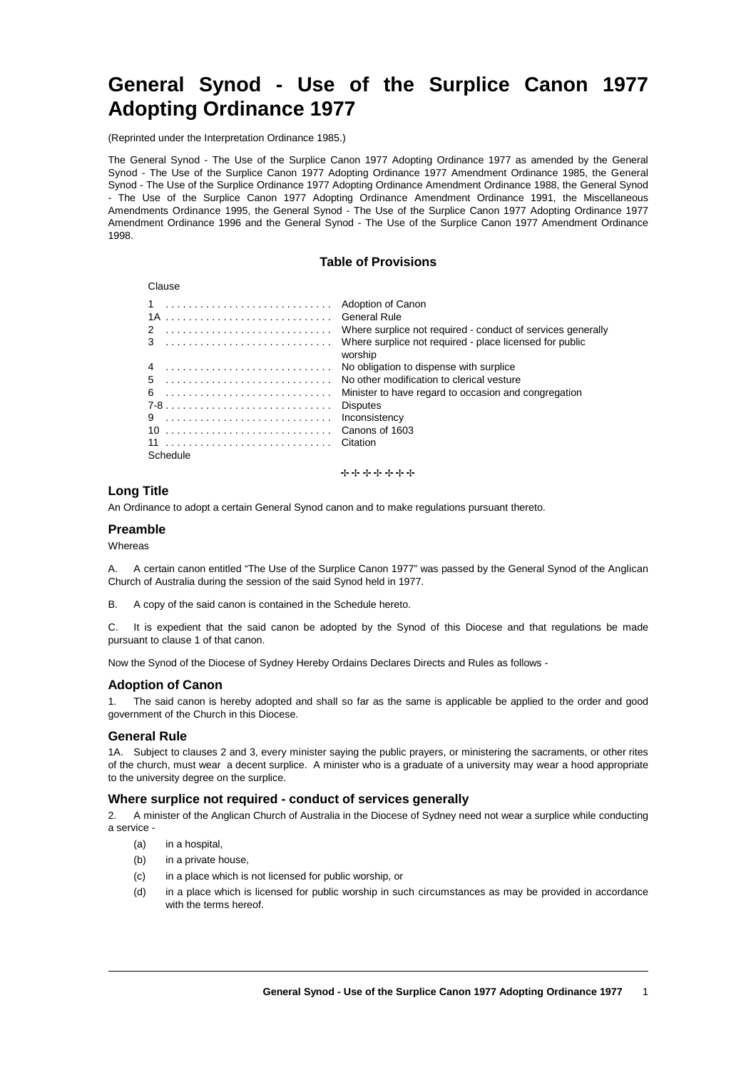# **General Synod - Use of the Surplice Canon 1977 Adopting Ordinance 1977**

(Reprinted under the Interpretation Ordinance 1985.)

The General Synod - The Use of the Surplice Canon 1977 Adopting Ordinance 1977 as amended by the General Synod - The Use of the Surplice Canon 1977 Adopting Ordinance 1977 Amendment Ordinance 1985, the General Synod - The Use of the Surplice Ordinance 1977 Adopting Ordinance Amendment Ordinance 1988, the General Synod - The Use of the Surplice Canon 1977 Adopting Ordinance Amendment Ordinance 1991, the Miscellaneous Amendments Ordinance 1995, the General Synod - The Use of the Surplice Canon 1977 Adopting Ordinance 1977 Amendment Ordinance 1996 and the General Synod - The Use of the Surplice Canon 1977 Amendment Ordinance 1998.

# **Table of Provisions**

| 1  Adoption of Canon | General Rule                                                       |
|----------------------|--------------------------------------------------------------------|
|                      | Where surplice not required - conduct of services generally        |
|                      | Where surplice not required - place licensed for public<br>worship |
|                      | No obligation to dispense with surplice                            |
|                      | No other modification to clerical vesture                          |
|                      | Minister to have regard to occasion and congregation               |
|                      | <b>Disputes</b>                                                    |
|                      | Inconsistency                                                      |
|                      | Canons of 1603                                                     |
| 11  Citation         |                                                                    |
| Schedule             |                                                                    |
|                      |                                                                    |

+++++++

# **Long Title**

Clause

An Ordinance to adopt a certain General Synod canon and to make regulations pursuant thereto.

# **Preamble**

Whereas

A. A certain canon entitled "The Use of the Surplice Canon 1977" was passed by the General Synod of the Anglican Church of Australia during the session of the said Synod held in 1977.

B. A copy of the said canon is contained in the Schedule hereto.

C. It is expedient that the said canon be adopted by the Synod of this Diocese and that regulations be made pursuant to clause 1 of that canon.

Now the Synod of the Diocese of Sydney Hereby Ordains Declares Directs and Rules as follows -

## **Adoption of Canon**

1. The said canon is hereby adopted and shall so far as the same is applicable be applied to the order and good government of the Church in this Diocese.

## **General Rule**

1A. Subject to clauses 2 and 3, every minister saying the public prayers, or ministering the sacraments, or other rites of the church, must wear a decent surplice. A minister who is a graduate of a university may wear a hood appropriate to the university degree on the surplice.

#### **Where surplice not required - conduct of services generally**

2. A minister of the Anglican Church of Australia in the Diocese of Sydney need not wear a surplice while conducting a service -

- (a) in a hospital,
- (b) in a private house,
- (c) in a place which is not licensed for public worship, or
- (d) in a place which is licensed for public worship in such circumstances as may be provided in accordance with the terms hereof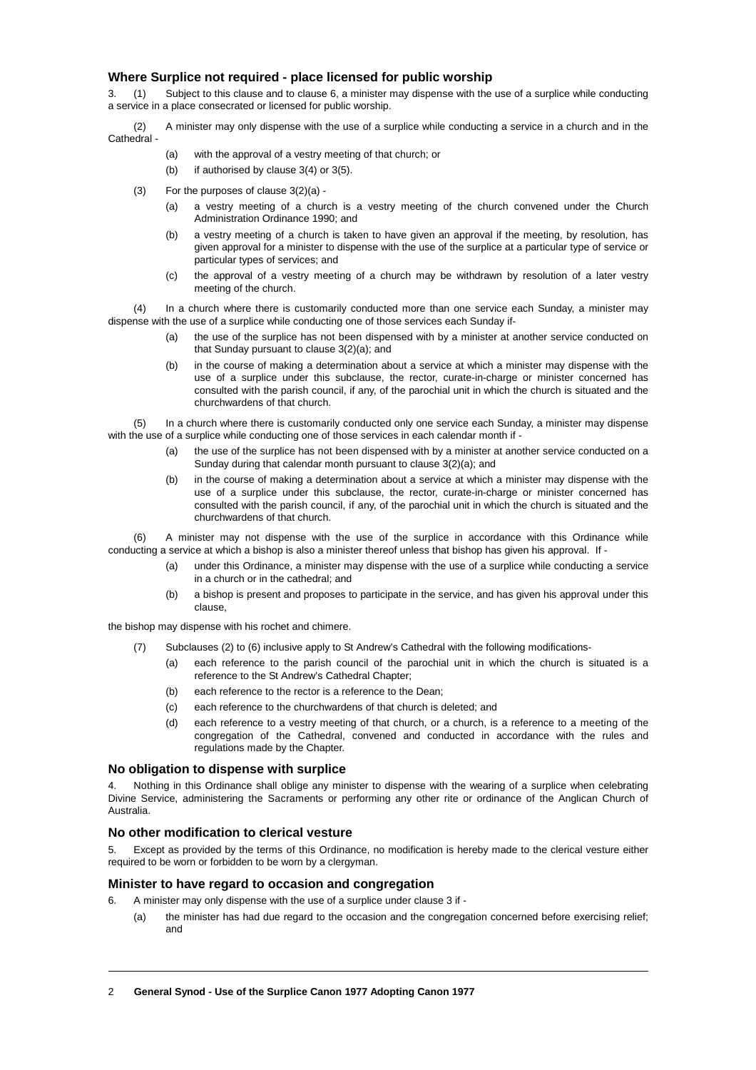## **Where Surplice not required - place licensed for public worship**

3. (1) Subject to this clause and to clause 6, a minister may dispense with the use of a surplice while conducting a service in a place consecrated or licensed for public worship.

- (2) A minister may only dispense with the use of a surplice while conducting a service in a church and in the Cathedral -
	- (a) with the approval of a vestry meeting of that church; or
	- (b) if authorised by clause 3(4) or 3(5).
	- (3) For the purposes of clause 3(2)(a)
		- (a) a vestry meeting of a church is a vestry meeting of the church convened under the Church Administration Ordinance 1990; and
		- (b) a vestry meeting of a church is taken to have given an approval if the meeting, by resolution, has given approval for a minister to dispense with the use of the surplice at a particular type of service or particular types of services; and
		- (c) the approval of a vestry meeting of a church may be withdrawn by resolution of a later vestry meeting of the church.

(4) In a church where there is customarily conducted more than one service each Sunday, a minister may dispense with the use of a surplice while conducting one of those services each Sunday if-

- (a) the use of the surplice has not been dispensed with by a minister at another service conducted on that Sunday pursuant to clause 3(2)(a); and
- (b) in the course of making a determination about a service at which a minister may dispense with the use of a surplice under this subclause, the rector, curate-in-charge or minister concerned has consulted with the parish council, if any, of the parochial unit in which the church is situated and the churchwardens of that church.

In a church where there is customarily conducted only one service each Sunday, a minister may dispense with the use of a surplice while conducting one of those services in each calendar month if -

- (a) the use of the surplice has not been dispensed with by a minister at another service conducted on a Sunday during that calendar month pursuant to clause 3(2)(a); and
- (b) in the course of making a determination about a service at which a minister may dispense with the use of a surplice under this subclause, the rector, curate-in-charge or minister concerned has consulted with the parish council, if any, of the parochial unit in which the church is situated and the churchwardens of that church.

A minister may not dispense with the use of the surplice in accordance with this Ordinance while conducting a service at which a bishop is also a minister thereof unless that bishop has given his approval. If -

- (a) under this Ordinance, a minister may dispense with the use of a surplice while conducting a service in a church or in the cathedral; and
- (b) a bishop is present and proposes to participate in the service, and has given his approval under this clause,

the bishop may dispense with his rochet and chimere.

- (7) Subclauses (2) to (6) inclusive apply to St Andrew's Cathedral with the following modifications-
	- (a) each reference to the parish council of the parochial unit in which the church is situated is a reference to the St Andrew's Cathedral Chapter;
	- (b) each reference to the rector is a reference to the Dean;
	- (c) each reference to the churchwardens of that church is deleted; and
	- (d) each reference to a vestry meeting of that church, or a church, is a reference to a meeting of the congregation of the Cathedral, convened and conducted in accordance with the rules and regulations made by the Chapter.

## **No obligation to dispense with surplice**

4. Nothing in this Ordinance shall oblige any minister to dispense with the wearing of a surplice when celebrating Divine Service, administering the Sacraments or performing any other rite or ordinance of the Anglican Church of Australia.

# **No other modification to clerical vesture**

5. Except as provided by the terms of this Ordinance, no modification is hereby made to the clerical vesture either required to be worn or forbidden to be worn by a clergyman.

## **Minister to have regard to occasion and congregation**

- 6. A minister may only dispense with the use of a surplice under clause 3 if
	- (a) the minister has had due regard to the occasion and the congregation concerned before exercising relief; and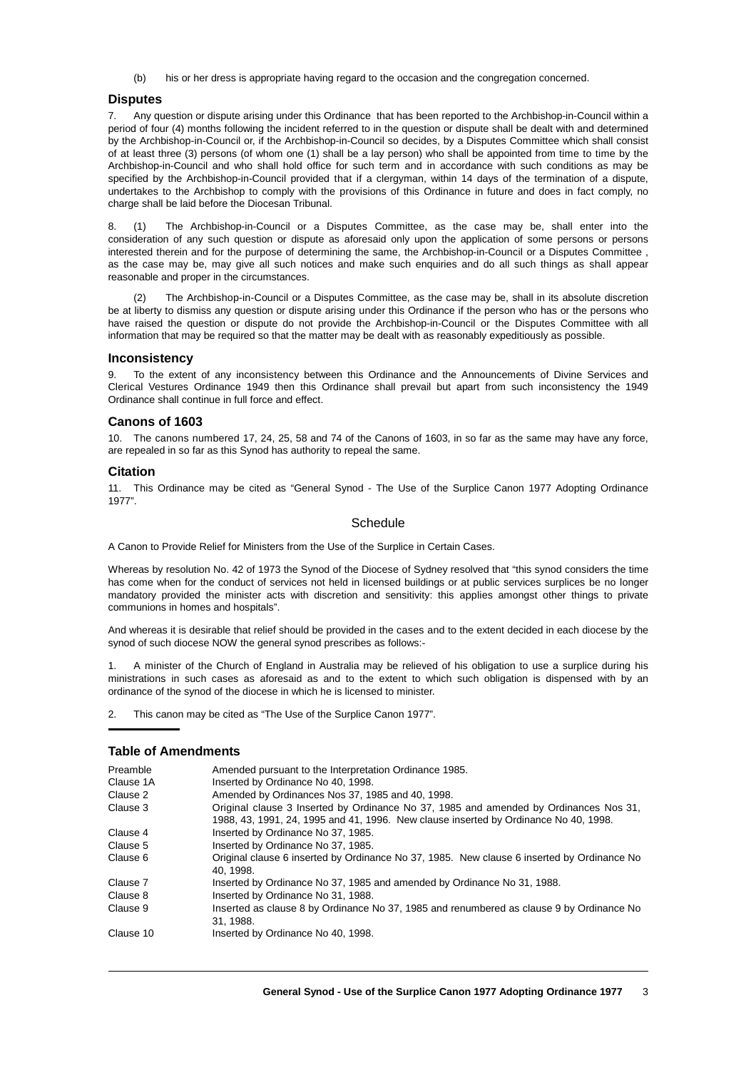(b) his or her dress is appropriate having regard to the occasion and the congregation concerned.

## **Disputes**

7. Any question or dispute arising under this Ordinance that has been reported to the Archbishop-in-Council within a period of four (4) months following the incident referred to in the question or dispute shall be dealt with and determined by the Archbishop-in-Council or, if the Archbishop-in-Council so decides, by a Disputes Committee which shall consist of at least three (3) persons (of whom one (1) shall be a lay person) who shall be appointed from time to time by the Archbishop-in-Council and who shall hold office for such term and in accordance with such conditions as may be specified by the Archbishop-in-Council provided that if a clergyman, within 14 days of the termination of a dispute, undertakes to the Archbishop to comply with the provisions of this Ordinance in future and does in fact comply, no charge shall be laid before the Diocesan Tribunal.

8. (1) The Archbishop-in-Council or a Disputes Committee, as the case may be, shall enter into the consideration of any such question or dispute as aforesaid only upon the application of some persons or persons interested therein and for the purpose of determining the same, the Archbishop-in-Council or a Disputes Committee , as the case may be, may give all such notices and make such enquiries and do all such things as shall appear reasonable and proper in the circumstances.

(2) The Archbishop-in-Council or a Disputes Committee, as the case may be, shall in its absolute discretion be at liberty to dismiss any question or dispute arising under this Ordinance if the person who has or the persons who have raised the question or dispute do not provide the Archbishop-in-Council or the Disputes Committee with all information that may be required so that the matter may be dealt with as reasonably expeditiously as possible.

## **Inconsistency**

To the extent of any inconsistency between this Ordinance and the Announcements of Divine Services and Clerical Vestures Ordinance 1949 then this Ordinance shall prevail but apart from such inconsistency the 1949 Ordinance shall continue in full force and effect.

#### **Canons of 1603**

10. The canons numbered 17, 24, 25, 58 and 74 of the Canons of 1603, in so far as the same may have any force, are repealed in so far as this Synod has authority to repeal the same.

#### **Citation**

11. This Ordinance may be cited as "General Synod - The Use of the Surplice Canon 1977 Adopting Ordinance 1977".

#### **Schedule**

A Canon to Provide Relief for Ministers from the Use of the Surplice in Certain Cases.

Whereas by resolution No. 42 of 1973 the Synod of the Diocese of Sydney resolved that "this synod considers the time has come when for the conduct of services not held in licensed buildings or at public services surplices be no longer mandatory provided the minister acts with discretion and sensitivity: this applies amongst other things to private communions in homes and hospitals".

And whereas it is desirable that relief should be provided in the cases and to the extent decided in each diocese by the synod of such diocese NOW the general synod prescribes as follows:-

1. A minister of the Church of England in Australia may be relieved of his obligation to use a surplice during his ministrations in such cases as aforesaid as and to the extent to which such obligation is dispensed with by an ordinance of the synod of the diocese in which he is licensed to minister.

2. This canon may be cited as "The Use of the Surplice Canon 1977".

## **Table of Amendments**

| Preamble  | Amended pursuant to the Interpretation Ordinance 1985.                                                                                                                        |
|-----------|-------------------------------------------------------------------------------------------------------------------------------------------------------------------------------|
| Clause 1A | Inserted by Ordinance No 40, 1998.                                                                                                                                            |
| Clause 2  | Amended by Ordinances Nos 37, 1985 and 40, 1998.                                                                                                                              |
| Clause 3  | Original clause 3 Inserted by Ordinance No 37, 1985 and amended by Ordinances Nos 31,<br>1988, 43, 1991, 24, 1995 and 41, 1996. New clause inserted by Ordinance No 40, 1998. |
| Clause 4  | Inserted by Ordinance No 37, 1985.                                                                                                                                            |
| Clause 5  | Inserted by Ordinance No 37, 1985.                                                                                                                                            |
| Clause 6  | Original clause 6 inserted by Ordinance No 37, 1985. New clause 6 inserted by Ordinance No<br>40.1998.                                                                        |
| Clause 7  | Inserted by Ordinance No 37, 1985 and amended by Ordinance No 31, 1988.                                                                                                       |
| Clause 8  | Inserted by Ordinance No 31, 1988.                                                                                                                                            |
| Clause 9  | Inserted as clause 8 by Ordinance No 37, 1985 and renumbered as clause 9 by Ordinance No<br>31.1988.                                                                          |
| Clause 10 | Inserted by Ordinance No 40, 1998.                                                                                                                                            |